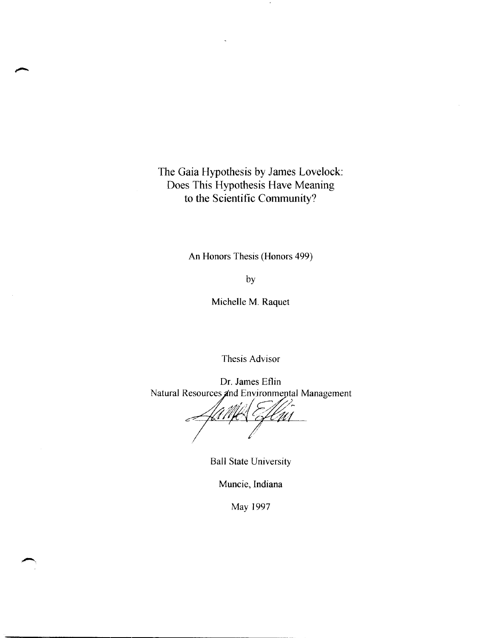The Gaia Hypothesis by James Lovelock: Does This Hypothesis Have Meaning to the Scientific Community?

An Honors Thesis (Honors 499)

by

Michelle M. Raquet

Thesis Advisor

Dr. James Eflin<br>Natural Resources and Environmental Management

Ball State University

Muncie, Indiana

May 1997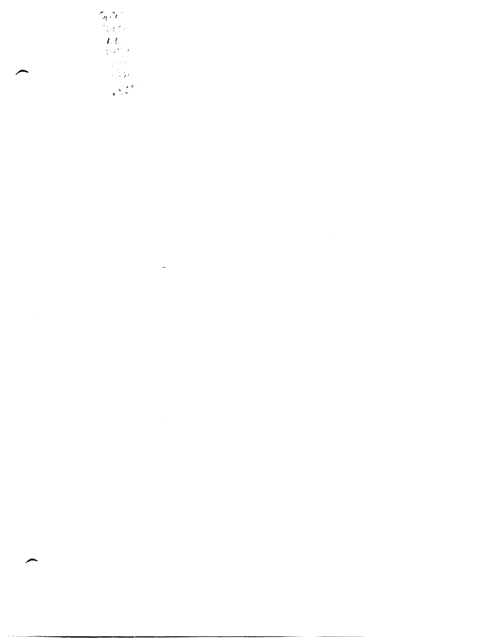- $\mathcal{L}$ *t·* 
	-

 $\label{eq:2.1} \frac{1}{\sqrt{2}}\int_{0}^{\pi} \frac{1}{\sqrt{2}}\left(\frac{1}{\sqrt{2}}\right)^{2} \frac{1}{\sqrt{2}}\left(\frac{1}{\sqrt{2}}\right)^{2} \frac{1}{\sqrt{2}}\left(\frac{1}{\sqrt{2}}\right)^{2} \frac{1}{\sqrt{2}}\left(\frac{1}{\sqrt{2}}\right)^{2} \frac{1}{\sqrt{2}}\left(\frac{1}{\sqrt{2}}\right)^{2} \frac{1}{\sqrt{2}}\left(\frac{1}{\sqrt{2}}\right)^{2} \frac{1}{\sqrt{2}}\left(\frac{1}{\sqrt{2}}\right$ 

 $\label{eq:2.1} \frac{1}{\sqrt{2}}\left(\frac{1}{\sqrt{2}}\right)^{2} \left(\frac{1}{\sqrt{2}}\right)^{2} \left(\frac{1}{\sqrt{2}}\right)^{2} \left(\frac{1}{\sqrt{2}}\right)^{2} \left(\frac{1}{\sqrt{2}}\right)^{2} \left(\frac{1}{\sqrt{2}}\right)^{2} \left(\frac{1}{\sqrt{2}}\right)^{2} \left(\frac{1}{\sqrt{2}}\right)^{2} \left(\frac{1}{\sqrt{2}}\right)^{2} \left(\frac{1}{\sqrt{2}}\right)^{2} \left(\frac{1}{\sqrt{2}}\right)^{2} \left(\$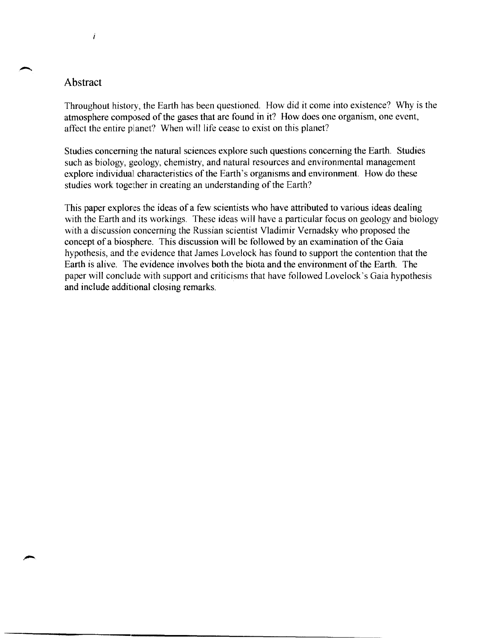# Abstract

 $\dot{i}$ 

Throughout history, the Earth has been questioned. How did it come into existence? Why is the atmosphere composed of the gases that are found in it? How does one organism, one event, affect the entire planet? When will life cease to exist on this planet?

Studies concerning the natural sciences explore such questions concerning the Earth. Studies such as biology, geology, chemistry, and natural resources and environmental management explore individual characteristics of the Earth's organisms and environment. How do these studies work together in creating an understanding of the Earth?

This paper explores the ideas of a few scientists who have attributed to various ideas dealing with the Earth and its workings. These ideas will have a particular focus on geology and biology with a discussion concerning the Russian scientist Vladimir Vernadsky who proposed the concept of a biosphere. This discussion will be followed by an examination of the Gaia hypothesis, and the evidence that James Lovelock has found to support the contention that the Earth is alive. The evidence involves both the biota and the environment of the Earth. The paper will conclude with support and criticisms that have followed Lovelock's Gaia hypothesis and include additional closing remarks.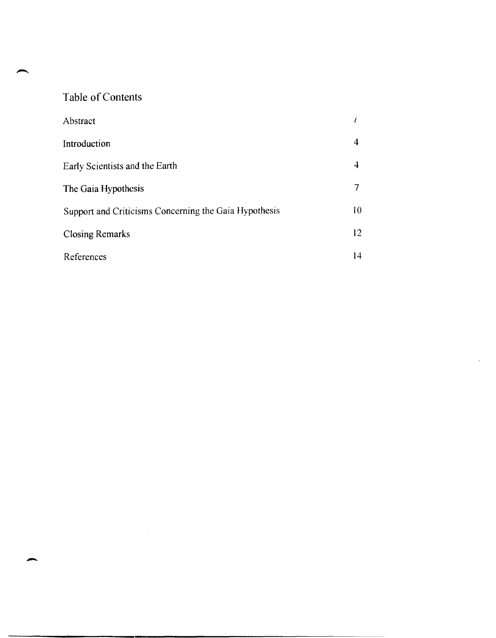Table of Contents

 $\mathcal{A}$ 

-

| Abstract                                              |    |
|-------------------------------------------------------|----|
| Introduction                                          | 4  |
| Early Scientists and the Earth                        | 4  |
| The Gaia Hypothesis                                   | 7  |
| Support and Criticisms Concerning the Gaia Hypothesis | 10 |
| <b>Closing Remarks</b>                                | 12 |
| References                                            | 14 |

 $\mathcal{L}$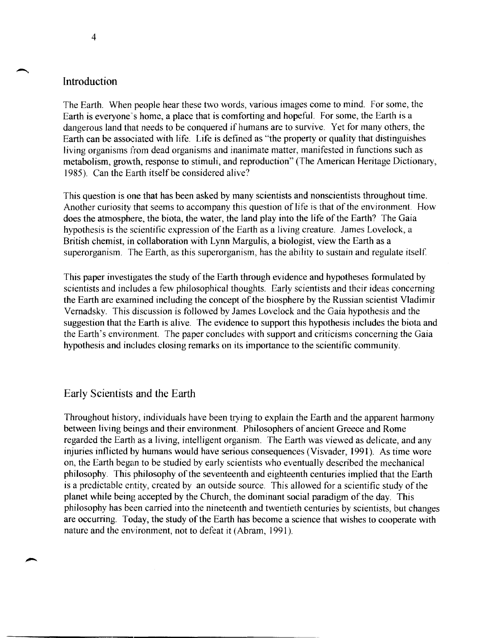## Introduction

The Earth. When people hear these two words, various images come to mind. For some, the Earth is everyone's home, a place that is comforting and hopeful. For some, the Earth is a dangerous land that needs to be conquered if humans are to survive. Yet for many others, the Earth can be associated with life. Life is defined as "the property or quality that distinguishes living organisms from dead organisms and inanimate matter, manifested in functions such as metabolism, growth, response to stimuli, and reproduction" (The American Heritage Dictionary, 1985). Can the Earth itself be considered alive?

This question is one that has been asked by many scientists and nonscientists throughout time. Another curiosity that seems to accompany this question of life is that of the environment. How does the atmosphere, the biota, the water, the land play into the life of the Earth? The Gaia hypothesis is the scientific expression of the Earth as a living creature. James Lovelock, a British chemist, in collaboration with Lynn Margulis, a biologist, view the Earth as a superorganism. The Earth, as this superorganism, has the ability to sustain and regulate itself.

This paper investigates the study of the Earth through evidence and hypotheses formulated by scientists and includes a few philosophical thoughts. Early scientists and their ideas concerning the Earth are examined including the concept of the biosphere by the Russian scientist Vladimir Vernadsky. This discussion is followed by James Lovelock and the Gaia hypothesis and the suggestion that the Earth is alive. The evidence to support this hypothesis includes the biota and the Earth's environment. The paper concludes with support and criticisms concerning the Gaia hypothesis and ineludes closing remarks on its importance to the scientific community.

## Early Scientists and the Earth

Throughout history, individuals have been trying to explain the Earth and the apparent harmony between living beings and their environment. Philosophers of ancient Greece and Rome regarded the Earth as a living, intelligent organism. The Earth was viewed as delicate, and any injuries inflicted by humans would have serious consequences (Visvader, 1991). As time wore on, the Earth began to be studied by early scientists who eventually described the mechanical philosophy. This philosophy of the seventeenth and eighteenth centuries implied that the Earth is a predictable entity, created by an outside source. This allowed for a scientific study of the planet while being accepted by the Church, the dominant social paradigm of the day. This philosophy has been carried into the nineteenth and twentieth centuries by scientists, but changes are occurring. Today, the study of the Earth has become a science that wishes to cooperate with nature and the environment, not to defeat it (Abram, 1991).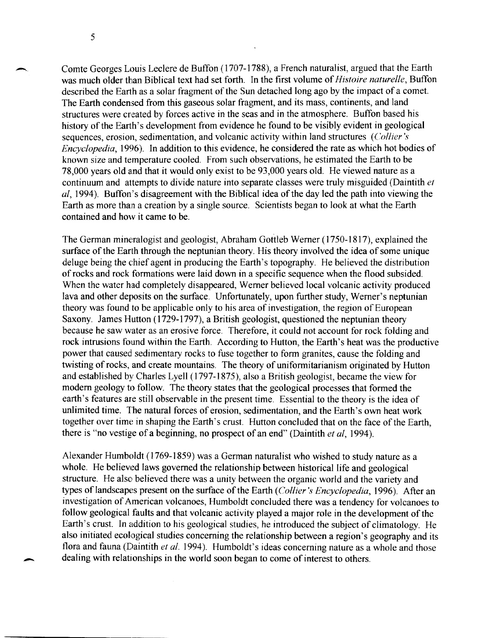Comte Georges Louis Leclere de Buffon (1707-1788), a French naturalist, argued that the Earth was much older than Biblical text had set forth. In the first volume of *Histoire naturelle,* Buffon described the Earth as a solar fragment of the Sun detached long ago by the impact of a comet. The Earth condensed from this gaseous solar fragment, and its mass, continents, and land structures were created by forces active in the seas and in the atmosphere. Buffon based his history of the Earth's development from evidence he found to be visibly evident in geological sequences, erosion, sedimentation, and volcanic activity within land structures *(Collier's Encyclopedia,* 1996). In addition to this evidence, he considered the rate as which hot bodies of known size and temperature cooled. From such observations, he estimated the Earth to be 78,000 years old and that it would only exist to be 93,000 years old. He viewed nature as a continuum and attempts to divide nature into separate classes were truly misguided (Daintith *et aI,* 1994). Buffon's disagreement with the Biblical idea of the day led the path into viewing the Earth as more than a creation by a single source. Scientists began to look at what the Earth contained and how it came to be.

The German mineralogist and geologist, Abraham Gortleb Werner (1750-1817), explained the surface of the Earth through the neptunian theory. His theory involved the idea of some unique deluge being the chief agent in producing the Earth's topography. He believed the distribution of rocks and rock formations were laid down in a specific sequence when the flood subsided. When the water had completely disappeared, Werner believed local volcanic activity produced lava and other deposits on the surface. Unfortunately, upon further study, Werner's neptunian theory was found to be applicable only to his area of investigation, the region of European Saxony. James Hutton (1729-1797), a British geologist, questioned the neptunian theory because he saw water as an erosive force. Therefore, it could not account for rock folding and rock intrusions found within the Earth. According to Hutton, the Earth's heat was the productive power that caused sedimentary rocks to fuse together to form granites, cause the folding and twisting of rocks, and create mountains. The theory of uniformitarianism originated by Hutton and established by Charles Lyell (1797-1875), also a British geologist, became the view for modem geology to follow. The theory states that the geological processes that formed the earth's features are still observable in the present time. Essential to the theory is the idea of unlimited time. The natural forces of erosion, sedimentation, and the Earth's own heat work together over time in shaping the Earth's crust. Hutton concluded that on the face of the Earth, there is "no vestige of a beginning, no prospect of an end" (Daintith *et aI,* 1994).

Alexander Humboldt (1769-1859) was a German naturalist who wished to study nature as a whole. He believed laws governed the relationship between historical life and geological structure. He also believed there was a unity between the organic world and the variety and types of landscapes present on the surface of the Earth *(Collier's Encyclopedia, 1996)*. After an investigation of American volcanoes, Humboldt concluded there was a tendency for volcanoes to follow geological faults and that volcanic activity played a major role in the development of the Earth's crust. In addition to his geological studies, he introduced the subject of climatology. He also initiated ecological studies concerning the relationship between a region's geography and its flora and fauna (Daintith *et al.* 1994). Humboldt's ideas concerning nature as a whole and those dealing with relationships in the world soon began to come of interest to others.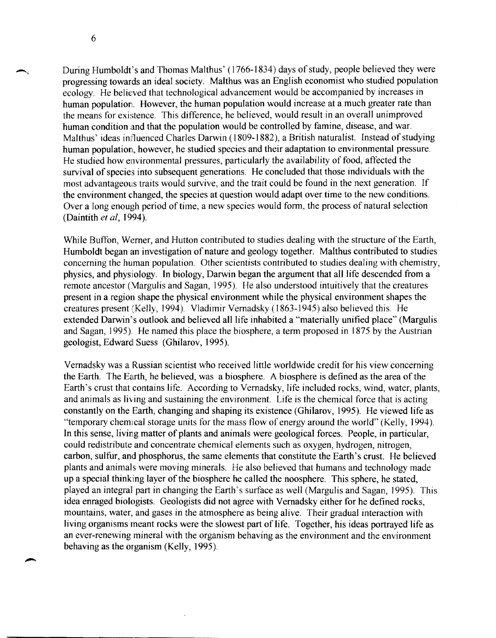During Humboldt's and Thomas Malthus' (1766-1834) days of study, people believed they were progressing towards an ideal society. Malthus was an English economist who studied population ecology. He believed that technological advancement would be accompanied by increases in human population. However, the human population would increase at a much greater rate than the means for existence. This difference, he believed, would result in an overall unimproved human condition and that the population would be controlled by famine, disease, and war. Malthus' ideas influenced Charles Darwin (1809-1882), a British naturalist. Instead of studying human population, however, he studied species and their adaptation to environmental pressure. He studied how environmental pressures, particularly the availability of food, affected the survival of species into subsequent generations. He concluded that those individuals with the most advantageous traits would survive, and the trait could be found in the next generation. If the environment changed, the species at question would adapt over time to the new conditions. Over a long enough period of time, a new species would form, the process of natural selection (Daintith *et aI,* 1994).

While Buffon, Werner, and Hutton contributed to studies dealing with the structure of the Earth, Humboldt began an investigation of nature and geology together. Malthus contributed to studies concerning the human population. Other scientists contributed to studies dealing with chemistry, physics, and physiology. In biology, Darwin began the argument that all life descended from a remote ancestor (Margulis and Sagan, 1995). He also understood intuitively that the creatures present in a region shape the physical environment while the physical environment shapes the creatures present (Kelly, 1994). Vladimir Vernadsky (1863-1945) also believed this. He extended Darwin's outlook and believed all life inhabited a "materially unified place" (Margulis and Sagan, 1995). He named this place the biosphere, a term proposed in 1875 by the Austrian geologist, Edward Suess (Ghilarov, 1995).

Vernadsky was a Russian scientist who received little worldwide credit for his view concerning the Earth. The Earth, he believed, was a biosphere. A biosphere is defined as the area of the Earth's crust that contains life. According to Vernadsky, life included rocks, wind, water, plants, and animals as living and sustaining the environment. Life is the chemical force that is acting constantly on the Earth, changing and shaping its existence (Ghilarov, 1995). He viewed life as "temporary chemical storage units for the mass flow of energy around the world" (Kelly, 1994). **In** this sense, living matter of plants and animals were geological forces. People, in particular, could redistribute and concentrate chemical elements such as oxygen, hydrogen, nitrogen, carbon, sulfur, and phosphorus, the same elements that constitute the Earth's crust. He believed plants and animals were moving minerals. He also believed that humans and technology made up a special thinking layer of the biosphere he called the noosphere. This sphere, he stated, played an integral part in changing the Earth's surface as well (Margulis and Sagan, 1995). This idea enraged biologists. Geologists did not agree with Vernadsky either for he defined rocks, mountains, water, and gases in the atmosphere as being alive. Their gradual interaction with living organisms meant rocks were the slowest part of life. Together, his ideas portrayed life as an ever-renewing mineral with the organism behaving as the environment and the environment behaving as the organism (Kelly, 1995).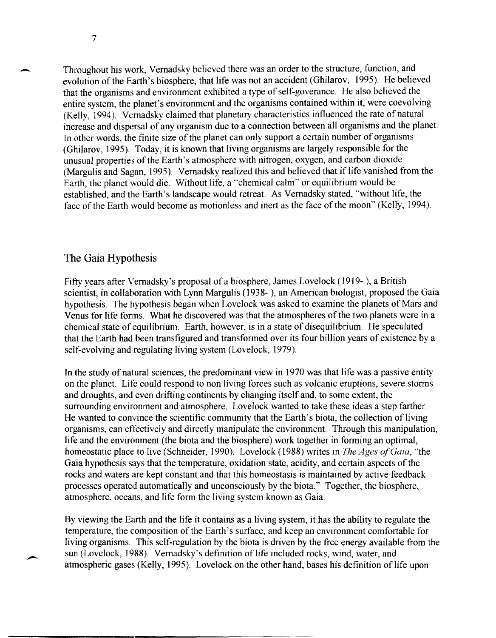Throughout his work, Vernadsky believed there was an order to the structure, function, and evolution of the Earth's biosphere, that life was not an accident (Ghilarov, 1995). He believed that the organisms and environment exhibited a type of self-goverance. He also believed the entire system, the planet's environment and the organisms contained within it, were coevolving (Kelly, 1994). Vemadsky claimed that planetary characteristics influenced the rate of natural increase and dispersal of any organism due to a connection between all organisms and the planet. In other words, the finite size of the planet can only support a certain number of organisms (Ghilarov, 1995). Today, it is known that living organisms are largely responsible for the unusual properties of the Earth's atmosphere with nitrogen, oxygen, and carbon dioxide (Margulis and Sagan, 1995). Vemadsky realized this and believed that iflife vanished from the Earth, the planet would die. Without life, a "chemical calm" or equilibrium would be established, and the Earth's landscape would retreat. As Vemadsky stated, "without life, the face of the Earth would become as motionless and inert as the face of the moon" (Kelly, 1994).

## The Gaia Hypothesis

-

Fifty years after Vemadsky's proposal of a biosphere, James Lovelock (1919- ), a British scientist, in collaboration with Lynn Margulis (1938- ), an American biologist, proposed the Gaia hypothesis. The hypothesis began when Lovelock was asked to examine the planets of Mars and Venus for life fonns. What he discovered was that the atmospheres of the two planets were in a chemical state of equilibrium. Earth, however, is in a state of disequilibrium. He speculated that the Earth had been transfigured and transformed over its four billion years of existence by a self-evolving and regulating living system (Lovelock, 1979).

In the study of natural sciences, the predominant view in 1970 was that life was a passive entity on the planet. Life could respond to non living forces such as volcanic eruptions, severe storms and droughts, and even drifting continents by changing itself and, to some extent, the surrounding environment and atmosphere. Lovelock wanted to take these ideas a step farther. He wanted to convince the scientific community that the Earth's biota, the collection of living organisms, can effectively and directly manipulate the environment. Through this manipulation, life and the environment (the biota and the biosphere) work together in forming an optimal, homeostatic place to live (Schneider, 1990). Lovelock (1988) writes in *The Ages of Gaia,* "the Gaia hypothesis says that the temperature, oxidation state, acidity, and certain aspects of the rocks and waters are kept constant and that this homeostasis is maintained by active feedback processes operated automatically and unconsciously by the biota." Together, the biosphere, atmosphere, oceans, and life form the living system known as Gaia.

By viewing the Earth and the life it contains as a living system, it has the ability to regulate the temperature, the composition of the Earth's surface, and keep an environment comfortable for living organisms. This self-regulation by the biota is driven by the free energy available from the sun (Lovelock, 1988). Vemadsky's definition of life included rocks, wind, water, and atmospheric gases (Kelly, 1995). Lovelock on the other hand, bases his definition of life upon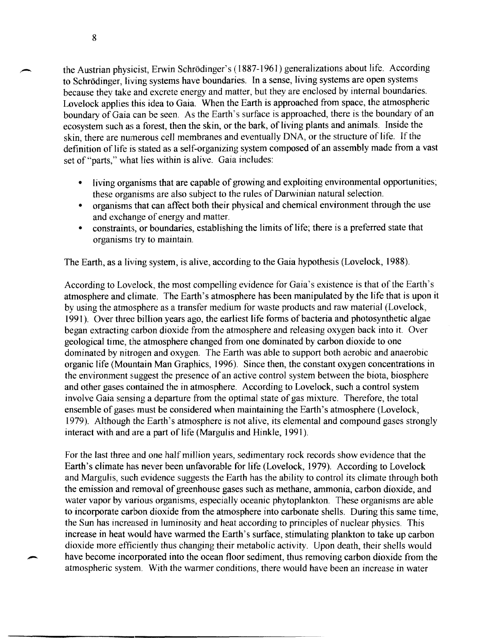the Austrian physicist, Erwin Schrodinger's (1887-196] ) generalizations about life. According to Schrodinger, living systems have boundaries. In a sense, living systems are open systems because they take and excrete energy and matter, but they are enclosed by internal boundaries. Lovelock applies this idea to Gaia. When the Earth is approached from space, the atmospheric boundary of Gaia can be seen. As the Earth's surface is approached, there is the boundary of an ecosystem such as a forest, then the skin, or the bark, of living plants and animals. Inside the skin, there are numerous cell membranes and eventually DNA, or the structure of life. If the definition of life is stated as a self-organizing system composed of an assembly made from a vast set of "parts," what lies within is alive. Gaia includes:

- living organisms that are capable of growing and exploiting environmental opportunities; these organisms are also subject to the rules of Darwinian natural selection.
- organisms that can affect both their physical and chemical environment through the use and exchange of energy and matter.
- constraints, or boundaries, establishing the limits of life; there is a preferred state that organisms try to maintain.

The Earth, as a living system, is alive, according to the Gaia hypothesis (Lovelock, 1988).

According to Lovelock, the most compelling evidence for Gaia's existence is that of the Earth's atmosphere and climate. The Earth's atmosphere has been manipulated by the life that is upon it by using the atmosphere as a transfer medium for waste products and raw material (Lovelock, 1991). Over three billion years ago, the earliest life forms of bacteria and photosynthetic algae began extracting carbon dioxide from the atmosphere and releasing oxygen back into it. Over geological time, the atmosphere changed from one dominated by carbon dioxide to one dominated by nitrogen and oxygen. The Earth was able to support both aerobic and anaerobic organic life (Mountain Man Graphics, 1996). Since then, the constant oxygen concentrations in the environment suggest the presence of an active control system between the biota, biosphere and other gases contained the in atmosphere. According to Lovelock, such a control system involve Gaia sensing a departure from the optimal state of gas mixture. Therefore, the total ensemble of gases must be considered when maintaining the Earth's atmosphere (Lovelock, 1979). Although the Earth's atmosphere is not alive, its elemental and compound gases strongly interact with and are a part of life (Margulis and Hinkle, 199]).

For the last three and one half million years, sedimentary rock records show evidence that the Earth's climate has never been unfavorable for life (Lovelock, 1979). According to Lovelock and Margulis, such evidence suggests the Earth has the ability to control its climate through both the emission and removal of greenhouse gases such as methane, ammonia, carbon dioxide, and water vapor by various organisms, especially oceanic phytoplankton. These organisms are able to incorporate carbon dioxide from the atmosphere into carbonate shells. During this same time, the Sun has increased in luminosity and heat according to principles of nuclear physics. This increase in heat would have warmed the Earth's surface, stimulating plankton to take up carbon dioxide more efficiently thus changing their metabolic activity. Upon death, their shells would have become incorporated into the ocean floor sediment, thus removing carbon dioxide from the atmospheric system. With the warmer conditions, there would have been an increase in water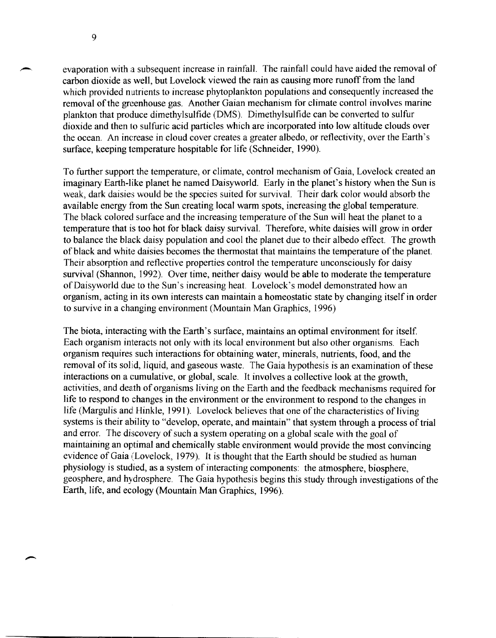evaporation with a subsequent increase in rainfall. The rainfall could have aided the removal of carbon dioxide as well, but Lovelock viewed the rain as causing more runoff from the land which provided nutrients to increase phytoplankton populations and consequently increased the removal of the greenhouse gas. Another Gaian mechanism for climate control involves marine plankton that produce dimethyl sulfide (DMS). Dimethylsulfide can be converted to sulfur dioxide and then to sulfuric acid particles which are incorporated into low altitude clouds over the ocean. An increase in cloud cover creates a greater albedo, or reflectivity, over the Earth's surface, keeping temperature hospitable for life (Schneider, 1990).

To further support the temperature, or climate, control mechanism of Gaia, Lovelock created an imaginary Earth-like planet he named Daisyworld. Early in the planet's history when the Sun is weak, dark daisies would be the species suited for survival. Their dark color would absorb the available energy from the Sun creating local warm spots, increasing the global temperature. The black colored surface and the increasing temperature of the Sun will heat the planet to a temperature that is too hot for black daisy survival. Therefore, white daisies will grow in order to balance the black daisy population and cool the planet due to their albedo effect. The growth of black and white daisies becomes the thermostat that maintains the temperature of the planet. Their absorption and reflective properties control the temperature unconsciously for daisy survival (Shannon, 1992). Over time, neither daisy would be able to moderate the temperature of Daisy world due to the Sun's increasing heat. Lovelock's model demonstrated how an organism, acting in its own interests can maintain a homeostatic state by changing itself in order to survive in a changing environment (Mountain Man Graphics, 1996)

The biota, interacting with the Earth's surface, maintains an optimal environment for itself. Each organism interacts not only with its local environment but also other organisms. Each organism requires such interactions for obtaining water, minerals, nutrients, food, and the removal of its solid, liquid, and gaseous waste. The Gaia hypothesis is an examination of these interactions on a cumulative, or global, scale. It involves a collective look at the growth, activities, and death of organisms living on the Earth and the feedback mechanisms required for life to respond to changes in the environment or the environment to respond to the changes in life (Margulis and Hinkle, 1991). Lovelock believes that one of the characteristics of living systems is their ability to "develop, operate, and maintain" that system through a process of trial and error. The discovery of such a system operating on a global scale with the goal of maintaining an optimal and chemically stable environment would provide the most convincing evidence of Gaia (Lovelock, 1979). It is thought that the Earth should be studied as human physiology is studied, as a system of interacting components: the atmosphere, biosphere, geosphere, and hydrosphere. The Gaia hypothesis begins this study through investigations of the Earth, life, and ecology (Mountain Man Graphics, 1996).

9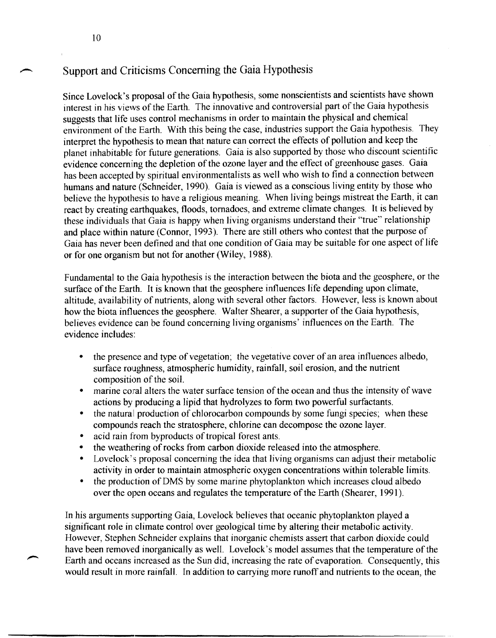Since Lovelock's proposal of the Gaia hypothesis, some nonscientists and scientists have shown interest in his views of the Earth. The innovative and controversial part of the Gaia hypothesis suggests that life uses control mechanisms in order to maintain the physical and chemical environment of the Earth. With this being the case, industries support the Gaia hypothesis. They interpret the hypothesis to mean that nature can correct the effects of pollution and keep the planet inhabitable for future generations. Gaia is also supported by those who discount scientific evidence concerning the depletion of the ozone layer and the effect of greenhouse gases. Gaia has been accepted by spiritual environmentalists as well who wish to find a connection between humans and nature (Schneider, 1990). Gaia is viewed as a conscious living entity by those who believe the hypothesis to have a religious meaning. When living beings mistreat the Earth, it can react by creating earthquakes, floods, tornadoes, and extreme climate changes. It is believed by these individuals that Gaia is happy when living organisms understand their "true" relationship and place within nature (Connor, 1993). There are still others who contest that the purpose of Gaia has never been defined and that one condition of Gaia may be suitable for one aspect of life or for one organism but not for another (Wiley, 1988).

Fundamental to the Gaia hypothesis is the interaction between the biota and the geosphere, or the surface of the Earth. It is known that the geosphere influences life depending upon climate, altitude, availabillty of nutrients, along with several other factors. However, less is known about how the biota influences the geosphere. Walter Shearer, a supporter of the Gaia hypothesis, believes evidence can be found concerning living organisms' influences on the Earth. The evidence includes:

- the presence and type of vegetation; the vegetative cover of an area influences albedo, surface roughness, atmospheric humidity, rainfall, soil erosion, and the nutrient composition of the soil.
- marine coral alters the water surface tension of the ocean and thus the intensity of wave actions by producing a lipid that hydrolyzes to form two powerful surfactants.
- the natural production of chlorocarbon compounds by some fungi species; when these compounds reach the stratosphere, chlorine can decompose the ozone layer.
- acid rain from byproducts of tropical forest ants.
- the weathering of rocks from carbon dioxide released into the atmosphere.
- Lovelock's proposal concerning the idea that living organisms can adjust their metabolic activity in order to maintain atmospheric oxygen concentrations within tolerable limits.
- the production of DMS by some marine phytoplankton which increases cloud albedo over the open oceans and regulates the temperature of the Earth (Shearer, 1991).

In his arguments supporting Gaia, Lovelock believes that oceanic phytoplankton played a significant role in climate control over geological time by altering their metabolic activity. However, Stephen Schneider explains that inorganic chemists assert that carbon dioxide could have been removed inorganically as well. Lovelock's model assumes that the temperature of the Earth and oceans increased as the Sun did, increasing the rate of evaporation. Consequently, this would result in more rainfall. In addition to carrying more runoff and nutrients to the ocean, the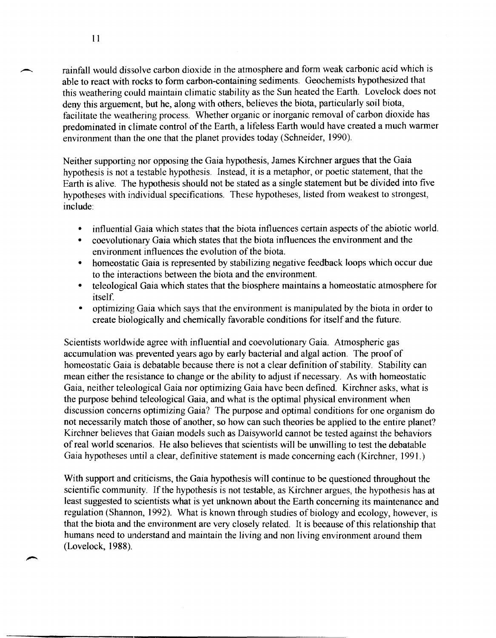rainfall would dissolve carbon dioxide in the atmosphere and form weak carbonic acid which is able to react with rocks to form carbon-containing sediments. Geochemists hypothesized that this weathering could maintain climatic stability as the Sun heated the Earth. Lovelock does not deny this arguement, but he, along with others, believes the biota, particularly soil biota, facilitate the weathering process. Whether organic or inorganic removal of carbon dioxide has predominated in climate control of the Earth, a lifeless Earth would have created a much warmer environment than the one that the planet provides today (Schneider, 1990).

Neither supporting nor opposing the Gaia hypothesis, James Kirchner argues that the Gaia hypothesis is not a testable hypothesis. Instead, it is a metaphor, or poetic statement, that the Earth is alive. The hypothesis should not be stated as a single statement but be divided into five hypotheses with individual specifications. These hypotheses, listed from weakest to strongest, include:

- influential Gaia which states that the biota influences certain aspects of the abiotic world.
- coevolutionary Gaia which states that the biota influences the environment and the environment influences the evolution of the biota.
- homeostatic Gaia is represented by stabilizing negative feedback loops which occur due to the interactions between the biota and the environment.
- teleological Gaia which states that the biosphere maintains a homeostatic atmosphere for itself.
- optimizing Gaia which says that the environment is manipulated by the biota in order to create biologically and chemically favorable conditions for itself and the future.

Scientists worldwide agree with influential and coevolutionary Gaia. Atmospheric gas accumulation was prevented years ago by early bacterial and algal action. The proof of homeostatic Gaia is debatable because there is not a clear definition of stability. Stability can mean either the resistance to change or the ability to adjust if necessary. As with homeostatic Gaia, neither teleological Gaia nor optimizing Gaia have been defined. Kirchner asks, what is the purpose behind teleological Gaia, and what is the optimal physical environment when discussion concerns optimizing Gaia? The purpose and optimal conditions for one organism do not necessarily match those of another, so how can such theories be applied to the entire planet? Kirchner believes that Gaian models such as Daisyworld cannot be tested against the behaviors of real world scenarios. He also believes that scientists will be unwilling to test the debatable Gaia hypotheses until a clear, definitive statement is made concerning each (Kirchner, 1991.)

With support and criticisms, the Gaia hypothesis will continue to be questioned throughout the scientific community. If the hypothesis is not testable, as Kirchner argues, the hypothesis has at least suggested to scientists what is yet unknown about the Earth concerning its maintenance and regulation (Shannon, 1992). What is known through studies of biology and ecology, however, is that the biota and the environment are very closely related. It is because of this relationship that humans need to understand and maintain the living and non living environment around them (Lovelock, 1988).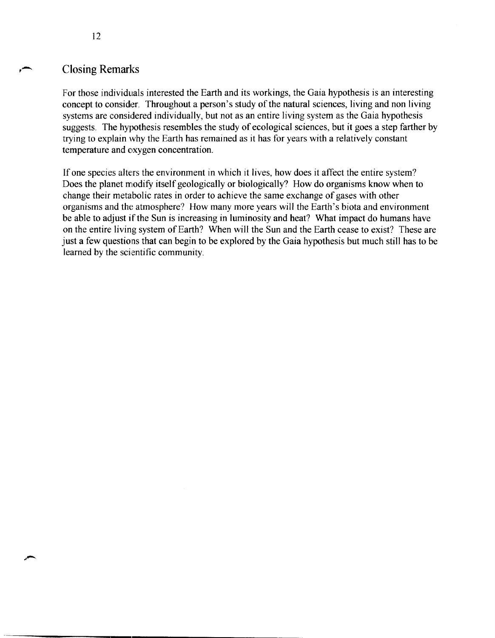# **,-** Closing Remarks

 $\overline{\phantom{0}}$ 

For those individuals interested the Earth and its workings, the Gaia hypothesis is an interesting concept to consider. Throughout a person's study of the natural sciences, living and non living systems are considered individually, but not as an entire living system as the Gaia hypothesis suggests. The hypothesis resembles the study of ecological sciences, but it goes a step farther by trying to explain why the Earth has remained as it has for years with a relatively constant temperature and oxygen concentration.

If one species alters the environment in which it lives, how does it affect the entire system? Does the planet modify itself geologically or biologically? How do organisms know when to change their metabolic rates in order to achieve the same exchange of gases with other organisms and the atmosphere? How many more years will the Earth's biota and environment be able to adjust if the Sun is increasing in luminosity and heat? What impact do humans have on the entire living system of Earth? When will the Sun and the Earth cease to exist? These are just a few questions that can begin to be explored by the Gaia hypothesis but much still has to be learned by the scientific community.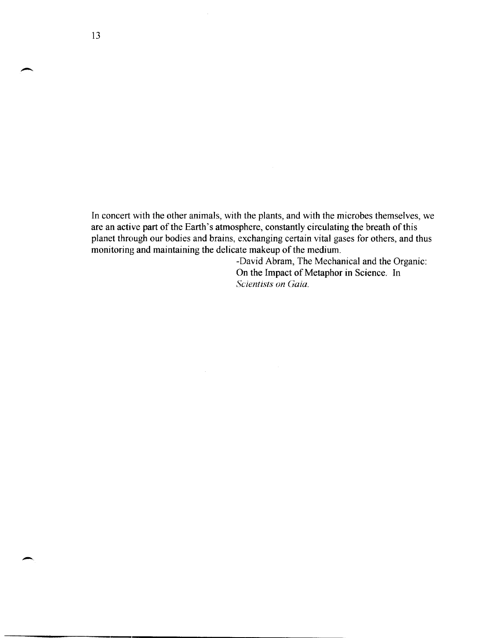In concert with the other animals, with the plants, and with the microbes themselves, we are an active part of the Earth's atmosphere, constantly circulating the breath of this planet through our bodies and brains, exchanging certain vital gases for others, and thus monitoring and maintaining the delicate makeup of the medium.

-David Abram, The Mechanical and the Organic: On the Impact of Metaphor in Science. In *Scientists on Gaia.*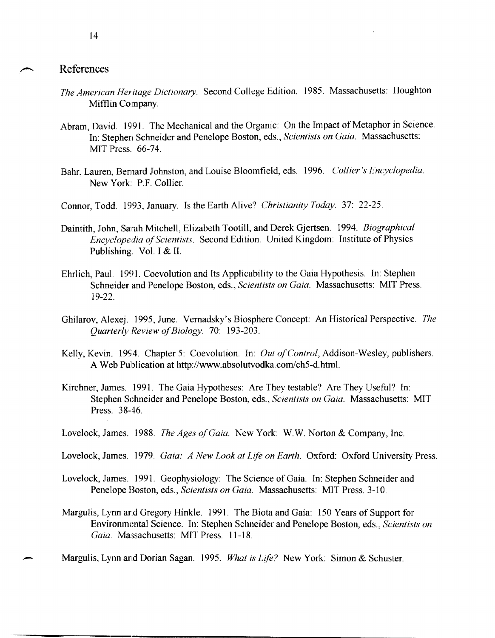#### References

- *The American Heritage Dictionary.* Second College Edition. 1985. Massachusetts: Houghton Mifflin Company.
- Abram, David. 1991. The Mechanical and the Organic: On the Impact of Metaphor in Science. In: Stephen Schneider and Penelope Boston, eds., *Scientists on Gaia.* Massachusetts: MIT Press. 66-74.
- Bahr, Lauren, Bernard Johnston, and Louise Bloomfield, eds. 1996. *Collier's Encyclopedia.*  New York: P.F. Collier.
- Connor, Todd. 1993, January. Is the Earth Alive? *Christianity Today.* 37: 22-25.
- Daintith, John, Samh Mitchell, Elizabeth Tootill, and Derek Gjertsen. 1994. *Biographical Encyclopedia a/Scientists.* Second Edition. United Kingdom: Institute of Physics Publishing. Vol. I & II.
- Ehrlich, Paul. 1991. Coevolution and Its Applicability to the Gaia Hypothesis. In: Stephen Schneider and Penelope Boston, eds., *Scientists on Gaia.* Massachusetts: MIT Press. 19-22.
- Ghilarov, Alexej. 1995, June. Vernadsky's Biosphere Concept: An Historical Perspective. *The Quarterly Review a/Biology.* 70: 193-203.
- Kelly, Kevin. 1994. Chapter 5: Coevolution. In: *Out of Control*, Addison-Wesley, publishers. A Web Publication at http://www.absolutvodka.com/ch5-d.html.
- Kirchner, James. 1991. The Gaia Hypotheses: Are They testable? Are They Useful? In: Stephen Schneider and Penelope Boston, eds., *Scientists on Gaia.* Massachusetts: MIT Press. 38-46.
- Lovelock, James. 1988. *The Ages a/Gaia.* New York: W.W. Norton & Company, Inc.
- Lovelock, James. 1979. *Gaia: A New Look at Life on Earth.* Oxford: Oxford University Press.
- Lovelock, James. 1991. Geophysiology: The Science of Gaia. In: Stephen Schneider and Penelope Boston, eds., *Scientists on Gaia.* Massachusetts: MIT Press. 3-10.
- Margulis, Lynn and Gregory Hinkle. 1991. The Biota and Gaia: 150 Years of Support for Environmental Science. In: Stephen Schneider and Penelope Boston, eds., *Scientists on Gaia.* Massachusetts: MIT Press. 11-18.
- Margulis, Lynn and Dorian Sagan. 1995. *What is Life?* New York: Simon & Schuster.